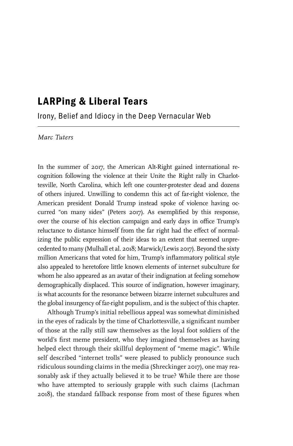# LARPing & Liberal Tears

Irony, Belief and Idiocy in the Deep Vernacular Web

#### *Marc Tuters*

In the summer of 2017, the American Alt-Right gained international recognition following the violence at their Unite the Right rally in Charlottesville, North Carolina, which left one counter-protester dead and dozens of others injured. Unwilling to condemn this act of far-right violence, the American president Donald Trump instead spoke of violence having occurred "on many sides" (Peters 2017). As exemplified by this response, over the course of his election campaign and early days in office Trump's reluctance to distance himself from the far right had the effect of normalizing the public expression of their ideas to an extent that seemed unprecedented to many (Mulhall et al. 2018; Marwick/Lewis 2017). Beyond the sixty million Americans that voted for him, Trump's inflammatory political style also appealed to heretofore little known elements of internet subculture for whom he also appeared as an avatar of their indignation at feeling somehow demographically displaced. This source of indignation, however imaginary, is what accounts for the resonance between bizarre internet subcultures and the global insurgency of far-right populism, and is the subject of this chapter.

Although Trump's initial rebellious appeal was somewhat diminished in the eyes of radicals by the time of Charlottesville, a significant number of those at the rally still saw themselves as the loyal foot soldiers of the world's first meme president, who they imagined themselves as having helped elect through their skillful deployment of "meme magic". While self described "internet trolls" were pleased to publicly pronounce such ridiculous sounding claims in the media (Shreckinger 2017), one may reasonably ask if they actually believed it to be true? While there are those who have attempted to seriously grapple with such claims (Lachman 2018), the standard fallback response from most of these figures when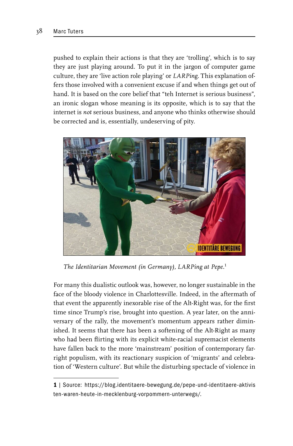pushed to explain their actions is that they are 'trolling', which is to say they are just playing around. To put it in the jargon of computer game culture, they are 'live action role playing' or *LARPing*. This explanation offers those involved with a convenient excuse if and when things get out of hand. It is based on the core belief that "teh Internet is serious business", an ironic slogan whose meaning is its opposite, which is to say that the internet is *not* serious business, and anyone who thinks otherwise should be corrected and is, essentially, undeserving of pity.



*The Identitarian Movement (in Germany), LARPing at Pepe.*<sup>1</sup>

For many this dualistic outlook was, however, no longer sustainable in the face of the bloody violence in Charlottesville. Indeed, in the aftermath of that event the apparently inexorable rise of the Alt-Right was, for the first time since Trump's rise, brought into question. A year later, on the anniversary of the rally, the movement's momentum appears rather diminished. It seems that there has been a softening of the Alt-Right as many who had been flirting with its explicit white-racial supremacist elements have fallen back to the more 'mainstream' position of contemporary farright populism, with its reactionary suspicion of 'migrants' and celebration of 'Western culture'. But while the disturbing spectacle of violence in

<sup>1</sup> | Source: https://blog.identitaere-bewegung.de/pepe-und-identitaere-aktivis ten-waren-heute-in-mecklenburg-vorpommern-unterwegs/.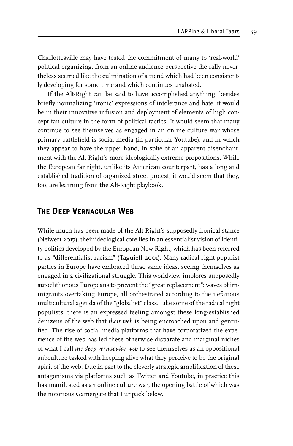Charlottesville may have tested the commitment of many to 'real-world' political organizing, from an online audience perspective the rally nevertheless seemed like the culmination of a trend which had been consistently developing for some time and which continues unabated.

If the Alt-Right can be said to have accomplished anything, besides briefly normalizing 'ironic' expressions of intolerance and hate, it would be in their innovative infusion and deployment of elements of high concept fan culture in the form of political tactics. It would seem that many continue to see themselves as engaged in an online culture war whose primary battlefield is social media (in particular Youtube), and in which they appear to have the upper hand, in spite of an apparent disenchantment with the Alt-Right's more ideologically extreme propositions. While the European far right, unlike its American counterpart, has a long and established tradition of organized street protest, it would seem that they, too, are learning from the Alt-Right playbook.

## The Deep Vernacular Web

While much has been made of the Alt-Right's supposedly ironical stance (Neiwert 2017), their ideological core lies in an essentialist vision of identity politics developed by the European New Right, which has been referred to as "differentialist racism" (Taguieff 2001). Many radical right populist parties in Europe have embraced these same ideas, seeing themselves as engaged in a civilizational struggle. This worldview implores supposedly autochthonous Europeans to prevent the "great replacement": waves of immigrants overtaking Europe, all orchestrated according to the nefarious multicultural agenda of the "globalist" class. Like some of the radical right populists, there is an expressed feeling amongst these long-established denizens of the web that *their web* is being encroached upon and gentrified. The rise of social media platforms that have corporatized the experience of the web has led these otherwise disparate and marginal niches of what I call *the deep vernacular web* to see themselves as an oppositional subculture tasked with keeping alive what they perceive to be the original spirit of the web. Due in part to the cleverly strategic amplification of these antagonisms via platforms such as Twitter and Youtube, in practice this has manifested as an online culture war, the opening battle of which was the notorious Gamergate that I unpack below.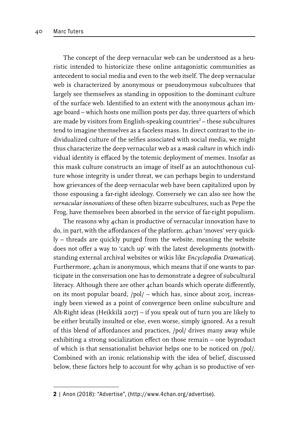The concept of the deep vernacular web can be understood as a heuristic intended to historicize these online antagonistic communities as antecedent to social media and even to the web itself. The deep vernacular web is characterized by anonymous or pseudonymous subcultures that largely see themselves as standing in opposition to the dominant culture of the surface web. Identified to an extent with the anonymous 4chan image board – which hosts one million posts per day, three quarters of which are made by visitors from English-speaking countries<sup>2</sup> – these subcultures tend to imagine themselves as a faceless mass. In direct contrast to the individualized culture of the selfies associated with social media, we might thus characterize the deep vernacular web as a *mask culture* in which individual identity is effaced by the totemic deployment of memes. Insofar as this mask culture constructs an image of itself as an autochthonous culture whose integrity is under threat, we can perhaps begin to understand how grievances of the deep vernacular web have been capitalized upon by those espousing a far-right ideology. Conversely we can also see how the *vernacular innovations* of these often bizarre subcultures, such as Pepe the Frog, have themselves been absorbed in the service of far-right populism.

The reasons why 4chan is productive of vernacular innovation have to do, in part, with the affordances of the platform. 4chan 'moves' very quickly – threads are quickly purged from the website, meaning the website does not offer a way to 'catch up' with the latest developments (notwithstanding external archival websites or wikis like *Encyclopedia Dramatica*). Furthermore, 4chan is anonymous, which means that if one wants to participate in the conversation one has to demonstrate a degree of subcultural literacy. Although there are other 4chan boards which operate differently, on its most popular board, /pol/ – which has, since about 2015, increasingly been viewed as a point of convergence been online subculture and Alt-Right ideas (Heikkilä 2017) – if you speak out of turn you are likely to be either brutally insulted or else, even worse, simply ignored. As a result of this blend of affordances and practices, /pol/ drives many away while exhibiting a strong socialization effect on those remain – one byproduct of which is that sensationalist behavior helps one to be noticed on /pol/. Combined with an ironic relationship with the idea of belief, discussed below, these factors help to account for why 4chan is so productive of ver-

<sup>2</sup> | Anon (2018): "Advertise", (http://www.4chan.org/advertise).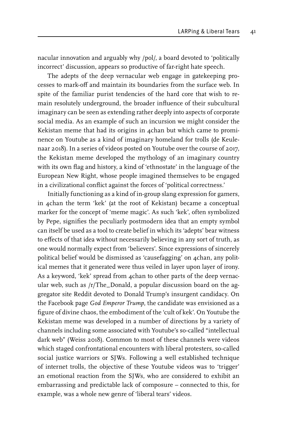nacular innovation and arguably why /pol/, a board devoted to 'politically incorrect' discussion, appears so productive of far-right hate speech.

The adepts of the deep vernacular web engage in gatekeeping processes to mark-off and maintain its boundaries from the surface web. In spite of the familiar purist tendencies of the hard core that wish to remain resolutely underground, the broader influence of their subcultural imaginary can be seen as extending rather deeply into aspects of corporate social media. As an example of such an incursion we might consider the Kekistan meme that had its origins in 4chan but which came to prominence on Youtube as a kind of imaginary homeland for trolls (de Keulenaar 2018). In a series of videos posted on Youtube over the course of 2017, the Kekistan meme developed the mythology of an imaginary country with its own flag and history, a kind of 'ethnostate' in the language of the European New Right, whose people imagined themselves to be engaged in a civilizational conflict against the forces of 'political correctness.'

Initially functioning as a kind of in-group slang expression for gamers, in 4chan the term 'kek' (at the root of Kekistan) became a conceptual marker for the concept of 'meme magic'. As such 'kek', often symbolized by Pepe, signifies the peculiarly postmodern idea that an empty symbol can itself be used as a tool to create belief in which its 'adepts' bear witness to effects of that idea without necessarily believing in any sort of truth, as one would normally expect from 'believers'. Since expressions of sincerely political belief would be dismissed as 'causefagging' on 4chan, any political memes that it generated were thus veiled in layer upon layer of irony. As a keyword, 'kek' spread from 4chan to other parts of the deep vernacular web, such as /r/The\_Donald, a popular discussion board on the aggregator site Reddit devoted to Donald Trump's insurgent candidacy. On the Facebook page *God Emperor Trump*, the candidate was envisioned as a figure of divine chaos, the embodiment of the 'cult of kek'. On Youtube the Kekistan meme was developed in a number of directions by a variety of channels including some associated with Youtube's so-called "intellectual dark web" (Weiss 2018). Common to most of these channels were videos which staged confrontational encounters with liberal protesters, so-called social justice warriors or SJWs. Following a well established technique of internet trolls, the objective of these Youtube videos was to 'trigger' an emotional reaction from the SJWs, who are considered to exhibit an embarrassing and predictable lack of composure – connected to this, for example, was a whole new genre of 'liberal tears' videos.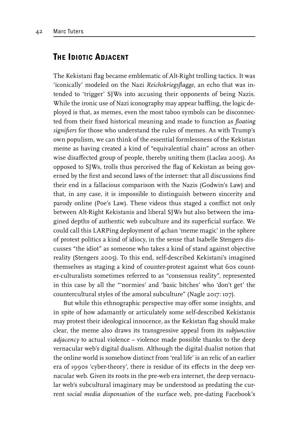### THE IDIOTIC ADJACENT

The Kekistani flag became emblematic of Alt-Right trolling tactics. It was 'iconically' modeled on the Nazi *Reichskriegsflagge*, an echo that was intended to 'trigger' SJWs into accusing their opponents of being Nazis. While the ironic use of Nazi iconography may appear baffling, the logic deployed is that, as memes, even the most taboo symbols can be disconnected from their fixed historical meaning and made to function as *floating signifiers* for those who understand the rules of memes. As with Trump's own populism, we can think of the essential formlessness of the Kekistan meme as having created a kind of "equivalential chain" across an otherwise disaffected group of people, thereby uniting them (Laclau 2005). As opposed to SJWs, trolls thus perceived the flag of Kekistan as being governed by the first and second laws of the internet: that all discussions find their end in a fallacious comparison with the Nazis (Godwin's Law) and that, in any case, it is impossible to distinguish between sincerity and parody online (Poe's Law). These videos thus staged a conflict not only between Alt-Right Kekistanis and liberal SJWs but also between the imagined depths of authentic web subculture and its superficial surface. We could call this LARPing deployment of 4chan 'meme magic' in the sphere of protest politics a kind of idiocy, in the sense that Isabelle Stengers discusses "the idiot" as someone who takes a kind of stand against objective reality (Stengers 2005). To this end, self-described Kekistani's imagined themselves as staging a kind of counter-protest against what 60s counter-culturalists sometimes referred to as "consensus reality", represented in this case by all the "'normies' and 'basic bitches' who 'don't get' the countercultural styles of the amoral subculture" (Nagle 2017: 107).

But while this ethnographic perspective may offer some insights, and in spite of how adamantly or articulately some self-described Kekistanis may protest their ideological innocence, as the Kekistan flag should make clear, the meme also draws its transgressive appeal from its *subjunctive adjacency* to actual violence – violence made possible thanks to the deep vernacular web's digital dualism. Although the digital dualist notion that the online world is somehow distinct from 'real life' is an relic of an earlier era of 1990s 'cyber-theory', there is residue of its effects in the deep vernacular web. Given its roots in the pre-web era internet, the deep vernacular web's subcultural imaginary may be understood as predating the current *social media dispensation* of the surface web, pre-dating Facebook's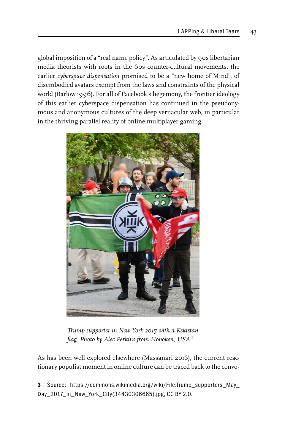global imposition of a "real name policy". As articulated by 90s libertarian media theorists with roots in the 60s counter-cultural movements, the earlier *cyberspace dispensation* promised to be a "new home of Mind", of disembodied avatars exempt from the laws and constraints of the physical world (Barlow 1996). For all of Facebook's hegemony, the frontier ideology of this earlier cyberspace dispensation has continued in the pseudonymous and anonymous cultures of the deep vernacular web, in particular in the thriving parallel reality of online multiplayer gaming.



*Trump supporter in New York 2017 with a Kekistan flag. Photo by Alec Perkins from Hoboken, USA.*<sup>3</sup>

As has been well explored elsewhere (Massanari 2016), the current reactionary populist moment in online culture can be traced back to the convo-

<sup>3</sup> | Source: https://commons.wikimedia.org/wiki/File:Trump\_supporters\_May\_ Day\_2017\_in\_New\_York\_City(34430306665).jpg, CC BY 2.0.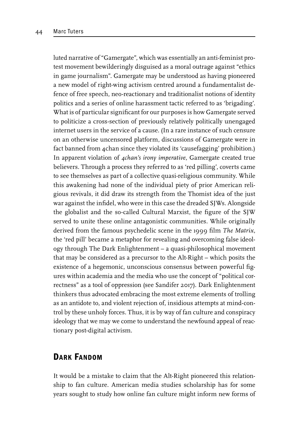luted narrative of "Gamergate", which was essentially an anti-feminist protest movement bewilderingly disguised as a moral outrage against "ethics in game journalism". Gamergate may be understood as having pioneered a new model of right-wing activism centred around a fundamentalist defence of free speech, neo-reactionary and traditionalist notions of identity politics and a series of online harassment tactic referred to as 'brigading'. What is of particular significant for our purposes is how Gamergate served to politicize a cross-section of previously relatively politically unengaged internet users in the service of a cause. (In a rare instance of such censure on an otherwise uncensored platform, discussions of Gamergate were in fact banned from 4chan since they violated its 'causefagging' prohibition.) In apparent violation of *4chan's irony imperative*, Gamergate created true believers. Through a process they referred to as 'red pilling', coverts came to see themselves as part of a collective quasi-religious community. While this awakening had none of the individual piety of prior American religious revivals, it did draw its strength from the Thomist idea of the just war against the infidel, who were in this case the dreaded SJWs. Alongside the globalist and the so-called Cultural Marxist, the figure of the SJW served to unite these online antagonistic communities. While originally derived from the famous psychedelic scene in the 1999 film *The Matrix*, the 'red pill' became a metaphor for revealing and overcoming false ideology through The Dark Enlightenment – a quasi-philosophical movement that may be considered as a precursor to the Alt-Right – which posits the existence of a hegemonic, unconscious consensus between powerful figures within academia and the media who use the concept of "political correctness" as a tool of oppression (see Sandifer 2017). Dark Enlightenment thinkers thus advocated embracing the most extreme elements of trolling as an antidote to, and violent rejection of, insidious attempts at mind-control by these unholy forces. Thus, it is by way of fan culture and conspiracy ideology that we may we come to understand the newfound appeal of reactionary post-digital activism.

#### Dark Fandom

It would be a mistake to claim that the Alt-Right pioneered this relationship to fan culture. American media studies scholarship has for some years sought to study how online fan culture might inform new forms of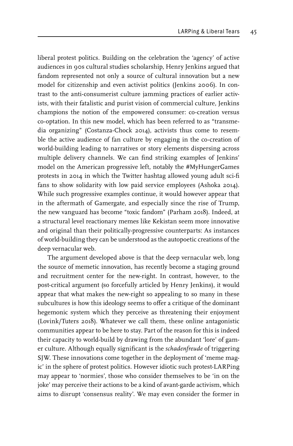liberal protest politics. Building on the celebration the 'agency' of active audiences in 90s cultural studies scholarship, Henry Jenkins argued that fandom represented not only a source of cultural innovation but a new model for citizenship and even activist politics (Jenkins 2006). In contrast to the anti-consumerist culture jamming practices of earlier activists, with their fatalistic and purist vision of commercial culture, Jenkins champions the notion of the empowered consumer: co-creation versus co-optation. In this new model, which has been referred to as "transmedia organizing" (Costanza-Chock 2014), activists thus come to resemble the active audience of fan culture by engaging in the co-creation of world-building leading to narratives or story elements dispersing across multiple delivery channels. We can find striking examples of Jenkins' model on the American progressive left, notably the #MyHungerGames protests in 2014 in which the Twitter hashtag allowed young adult sci-fi fans to show solidarity with low paid service employees (Ashoka 2014). While such progressive examples continue, it would however appear that in the aftermath of Gamergate, and especially since the rise of Trump, the new vanguard has become "toxic fandom" (Parham 2018). Indeed, at a structural level reactionary memes like Kekistan seem more innovative and original than their politically-progressive counterparts: As instances of world-building they can be understood as the autopoetic creations of the deep vernacular web.

The argument developed above is that the deep vernacular web, long the source of memetic innovation, has recently become a staging ground and recruitment center for the new-right. In contrast, however, to the post-critical argument (so forcefully articled by Henry Jenkins), it would appear that what makes the new-right so appealing to so many in these subcultures is how this ideology seems to offer a critique of the dominant hegemonic system which they perceive as threatening their enjoyment (Lovink/Tuters 2018). Whatever we call them, these online antagonistic communities appear to be here to stay. Part of the reason for this is indeed their capacity to world-build by drawing from the abundant 'lore' of gamer culture. Although equally significant is the *schadenfreude* of triggering SJW. These innovations come together in the deployment of 'meme magic' in the sphere of protest politics. However idiotic such protest-LARPing may appear to 'normies', those who consider themselves to be 'in on the joke' may perceive their actions to be a kind of avant-garde activism, which aims to disrupt 'consensus reality'. We may even consider the former in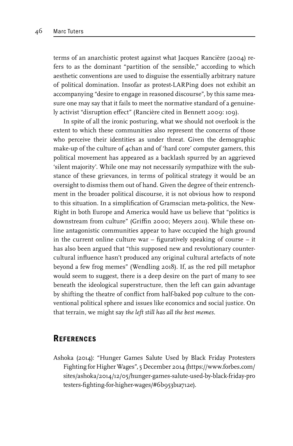terms of an anarchistic protest against what Jacques Rancière (2004) refers to as the dominant "partition of the sensible," according to which aesthetic conventions are used to disguise the essentially arbitrary nature of political domination. Insofar as protest-LARPing does not exhibit an accompanying "desire to engage in reasoned discourse", by this same measure one may say that it fails to meet the normative standard of a genuinely activist "disruption effect" (Rancière cited in Bennett 2009: 109).

In spite of all the ironic posturing, what we should not overlook is the extent to which these communities also represent the concerns of those who perceive their identities as under threat. Given the demographic make-up of the culture of 4chan and of 'hard core' computer gamers, this political movement has appeared as a backlash spurred by an aggrieved 'silent majority'. While one may not necessarily sympathize with the substance of these grievances, in terms of political strategy it would be an oversight to dismiss them out of hand. Given the degree of their entrenchment in the broader political discourse, it is not obvious how to respond to this situation. In a simplification of Gramscian meta-politics, the New-Right in both Europe and America would have us believe that "politics is downstream from culture" (Griffin 2000; Meyers 2011). While these online antagonistic communities appear to have occupied the high ground in the current online culture war – figuratively speaking of course – it has also been argued that "this supposed new and revolutionary countercultural influence hasn't produced any original cultural artefacts of note beyond a few frog memes" (Wendling 2018). If, as the red pill metaphor would seem to suggest, there is a deep desire on the part of many to see beneath the ideological superstructure, then the left can gain advantage by shifting the theatre of conflict from half-baked pop culture to the conventional political sphere and issues like economics and social justice. On that terrain, we might say *the left still has all the best memes*.

#### **REFERENCES**

Ashoka (2014): "Hunger Games Salute Used by Black Friday Protesters Fighting for Higher Wages", 5 December 2014 (https://www.forbes.com/ sites/ashoka/2014/12/05/hunger-games-salute-used-by-black-friday-pro testers-fighting-for-higher-wages/#6b953b1a712e).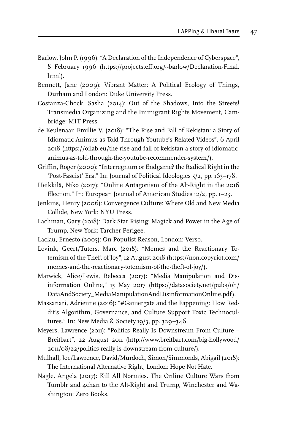- Barlow, John P. (1996): "A Declaration of the Independence of Cyberspace", 8 February 1996 (https://projects.eff.org/~barlow/Declaration-Final. html).
- Bennett, Jane (2009): Vibrant Matter: A Political Ecology of Things, Durham and London: Duke University Press.
- Costanza-Chock, Sasha (2014): Out of the Shadows, Into the Streets! Transmedia Organizing and the Immigrant Rights Movement, Cambridge: MIT Press.
- de Keulenaar, Emillie V. (2018): "The Rise and Fall of Kekistan: a Story of Idiomatic Animus as Told Through Youtube's Related Videos", 6 April 2018 (https://oilab.eu/the-rise-and-fall-of-kekistan-a-story-of-idiomaticanimus-as-told-through-the-youtube-recommender-system/).
- Griffin, Roger (2000): "Interregnum or Endgame? the Radical Right in the 'Post-Fascist' Era." In: Journal of Political Ideologies 5/2, pp. 163–178.
- Heikkilä, Niko (2017): "Online Antagonism of the Alt-Right in the 2016 Election." In: European Journal of American Studies 12/2, pp. 1–23.
- Jenkins, Henry (2006): Convergence Culture: Where Old and New Media Collide, New York: NYU Press.
- Lachman, Gary (2018): Dark Star Rising: Magick and Power in the Age of Trump, New York: Tarcher Perigee.
- Laclau, Ernesto (2005): On Populist Reason, London: Verso.
- Lovink, Geert/Tuters, Marc (2018): "Memes and the Reactionary Totemism of the Theft of Joy", 12 August 2018 (https://non.copyriot.com/ memes-and-the-reactionary-totemism-of-the-theft-of-joy/).
- Marwick, Alice/Lewis, Rebecca (2017): "Media Manipulation and Disinformation Online," 15 May 2017 (https://datasociety.net/pubs/oh/ DataAndSociety\_MediaManipulationAndDisinformationOnline.pdf).
- Massanari, Adrienne (2016): "#Gamergate and the Fappening: How Reddit's Algorithm, Governance, and Culture Support Toxic Technocultures." In: New Media & Society 19/3, pp. 329–346.
- Meyers, Lawrence (2011): "Politics Really Is Downstream From Culture Breitbart", 22 August 2011 (http://www.breitbart.com/big-hollywood/ 2011/08/22/politics-really-is-downstream-from-culture/).
- Mulhall, Joe/Lawrence, David/Murdoch, Simon/Simmonds, Abigail (2018): The International Alternative Right, London: Hope Not Hate.
- Nagle, Angela (2017): Kill All Normies. The Online Culture Wars from Tumblr and 4chan to the Alt-Right and Trump, Winchester and Washington: Zero Books.